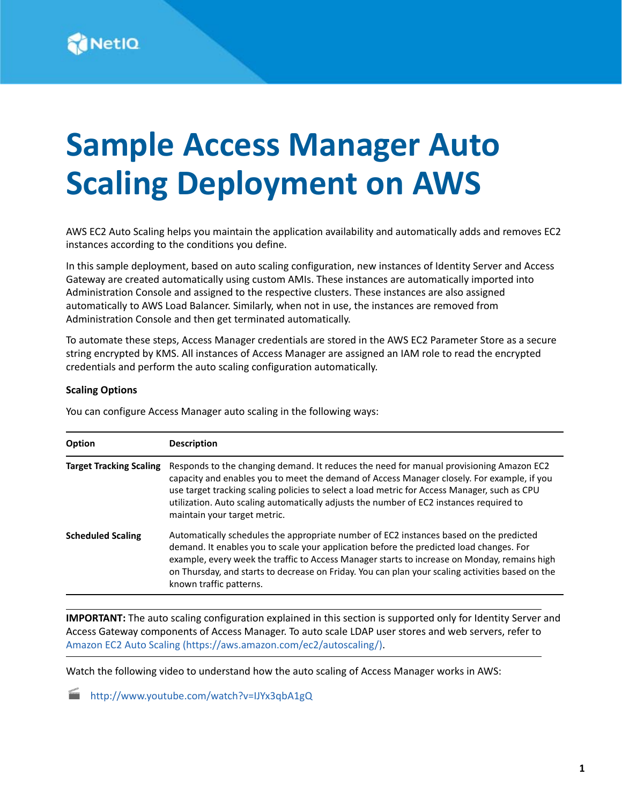# **Sample Access Manager Auto Scaling Deployment on AWS**

AWS EC2 Auto Scaling helps you maintain the application availability and automatically adds and removes EC2 instances according to the conditions you define.

In this sample deployment, based on auto scaling configuration, new instances of Identity Server and Access Gateway are created automatically using custom AMIs. These instances are automatically imported into Administration Console and assigned to the respective clusters. These instances are also assigned automatically to AWS Load Balancer. Similarly, when not in use, the instances are removed from Administration Console and then get terminated automatically.

To automate these steps, Access Manager credentials are stored in the AWS EC2 Parameter Store as a secure string encrypted by KMS. All instances of Access Manager are assigned an IAM role to read the encrypted credentials and perform the auto scaling configuration automatically.

#### **Scaling Options**

You can configure Access Manager auto scaling in the following ways:

| Option                         | <b>Description</b>                                                                                                                                                                                                                                                                                                                                                                                               |
|--------------------------------|------------------------------------------------------------------------------------------------------------------------------------------------------------------------------------------------------------------------------------------------------------------------------------------------------------------------------------------------------------------------------------------------------------------|
| <b>Target Tracking Scaling</b> | Responds to the changing demand. It reduces the need for manual provisioning Amazon EC2<br>capacity and enables you to meet the demand of Access Manager closely. For example, if you<br>use target tracking scaling policies to select a load metric for Access Manager, such as CPU<br>utilization. Auto scaling automatically adjusts the number of EC2 instances required to<br>maintain your target metric. |
| <b>Scheduled Scaling</b>       | Automatically schedules the appropriate number of EC2 instances based on the predicted<br>demand. It enables you to scale your application before the predicted load changes. For<br>example, every week the traffic to Access Manager starts to increase on Monday, remains high<br>on Thursday, and starts to decrease on Friday. You can plan your scaling activities based on the<br>known traffic patterns. |

**IMPORTANT:** The auto scaling configuration explained in this section is supported only for Identity Server and Access Gateway components of Access Manager. To auto scale LDAP user stores and web servers, refer to [Amazon EC2 Auto Scaling](https://aws.amazon.com/ec2/autoscaling/) (https://aws.amazon.com/ec2/autoscaling/).

Watch the following video to understand how the auto scaling of Access Manager works in AWS:

<http://www.youtube.com/watch?v=IJYx3qbA1gQ>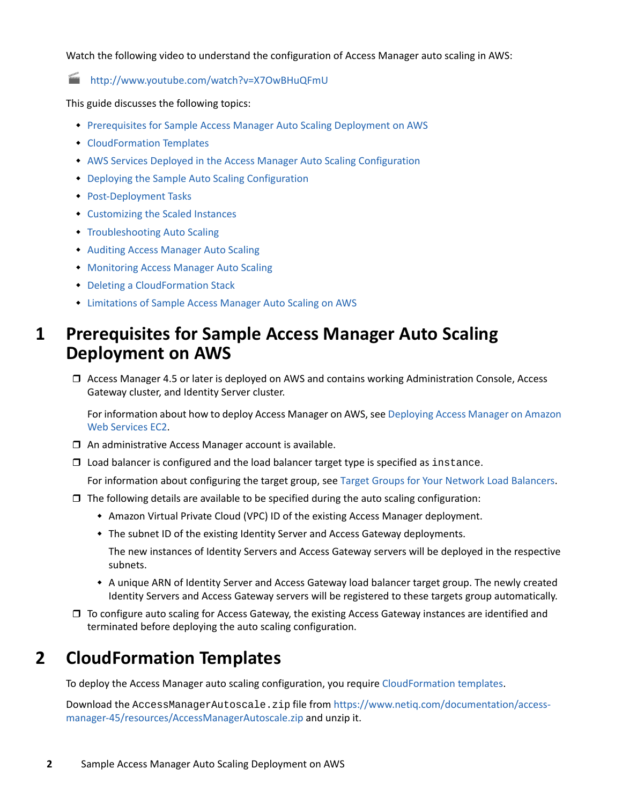Watch the following video to understand the configuration of Access Manager auto scaling in AWS:

<http://www.youtube.com/watch?v=X7OwBHuQFmU>

This guide discusses the following topics:

- [Prerequisites for Sample Access Manager Auto Scaling Deployment on AWS](#page-1-1)
- [CloudFormation Templates](#page-1-0)
- [AWS Services Deployed in the Access Manager Auto Scaling Configuration](#page-4-0)
- [Deploying the Sample Auto Scaling Configuration](#page-4-1)
- [Post-Deployment Tasks](#page-7-0)
- [Customizing the Scaled Instances](#page-8-0)
- **[Troubleshooting Auto Scaling](#page-8-1)**
- [Auditing Access Manager Auto Scaling](#page-9-0)
- [Monitoring Access Manager Auto Scaling](#page-9-1)
- [Deleting a CloudFormation Stack](#page-10-0)
- [Limitations of Sample Access Manager Auto Scaling on AWS](#page-10-1)

### <span id="page-1-1"></span>**1 Prerequisites for Sample Access Manager Auto Scaling Deployment on AWS**

 Access Manager 4.5 or later is deployed on AWS and contains working Administration Console, Access Gateway cluster, and Identity Server cluster.

For information about how to deploy Access Manager on AWS, see [Deploying Access Manager on Amazon](https://www.netiq.com/documentation/access-manager-45/install_upgrade/data/nam-on-aws.html)  [Web Services EC2.](https://www.netiq.com/documentation/access-manager-45/install_upgrade/data/nam-on-aws.html)

- $\Box$  An administrative Access Manager account is available.
- $\square$  Load balancer is configured and the load balancer target type is specified as instance.

For information about configuring the target group, see [Target Groups for Your Network Load Balancers](https://docs.aws.amazon.com/elasticloadbalancing/latest/network/load-balancer-target-groups.html).

- $\Box$  The following details are available to be specified during the auto scaling configuration:
	- Amazon Virtual Private Cloud (VPC) ID of the existing Access Manager deployment.
	- The subnet ID of the existing Identity Server and Access Gateway deployments.

The new instances of Identity Servers and Access Gateway servers will be deployed in the respective subnets.

- A unique ARN of Identity Server and Access Gateway load balancer target group. The newly created Identity Servers and Access Gateway servers will be registered to these targets group automatically.
- □ To configure auto scaling for Access Gateway, the existing Access Gateway instances are identified and terminated before deploying the auto scaling configuration.

### <span id="page-1-0"></span>**2 CloudFormation Templates**

To deploy the Access Manager auto scaling configuration, you require [CloudFormation templates](https://www.netiq.com/documentation/access-manager-45/resources/AccessManagerAutoscale.zip).

Download the AccessManagerAutoscale.zip file from https://www.netiq.com/documentation/accessmanager-45/resources/AccessManagerAutoscale.zip and unzip it.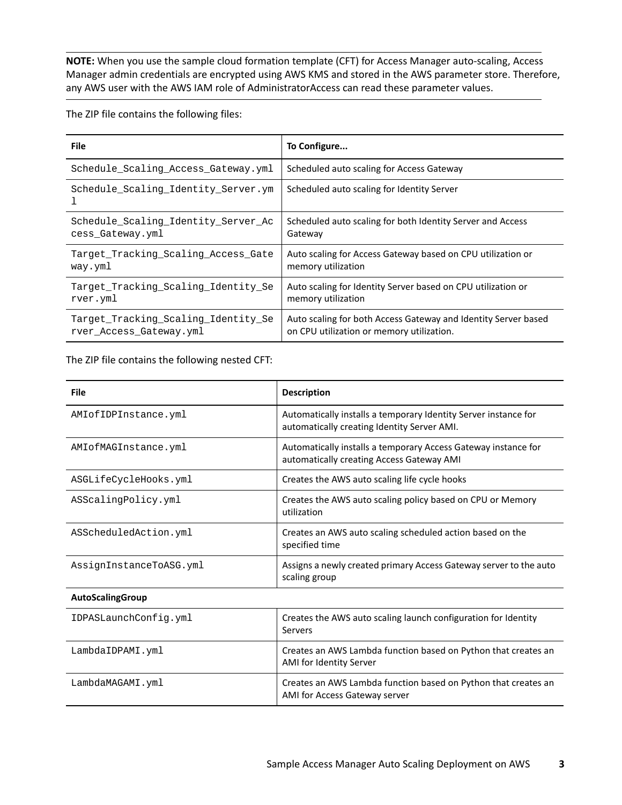**NOTE:** When you use the sample cloud formation template (CFT) for Access Manager auto-scaling, Access Manager admin credentials are encrypted using AWS KMS and stored in the AWS parameter store. Therefore, any AWS user with the AWS IAM role of AdministratorAccess can read these parameter values.

The ZIP file contains the following files:

| <b>File</b>                         | To Configure                                                   |
|-------------------------------------|----------------------------------------------------------------|
| Schedule Scaling Access Gateway.yml | Scheduled auto scaling for Access Gateway                      |
| Schedule_Scaling_Identity_Server.ym | Scheduled auto scaling for Identity Server                     |
| Schedule Scaling Identity Server Ac | Scheduled auto scaling for both Identity Server and Access     |
| cess Gateway.yml                    | Gateway                                                        |
| Target Tracking Scaling Access Gate | Auto scaling for Access Gateway based on CPU utilization or    |
| way.yml                             | memory utilization                                             |
| Target Tracking Scaling Identity Se | Auto scaling for Identity Server based on CPU utilization or   |
| rver.yml                            | memory utilization                                             |
| Target_Tracking_Scaling_Identity_Se | Auto scaling for both Access Gateway and Identity Server based |
| rver Access Gateway.yml             | on CPU utilization or memory utilization.                      |

The ZIP file contains the following nested CFT:

| <b>File</b>             | <b>Description</b>                                                                                             |
|-------------------------|----------------------------------------------------------------------------------------------------------------|
| AMIofIDPInstance.yml    | Automatically installs a temporary Identity Server instance for<br>automatically creating Identity Server AMI. |
| AMIofMAGInstance.yml    | Automatically installs a temporary Access Gateway instance for<br>automatically creating Access Gateway AMI    |
| ASGLifeCycleHooks.yml   | Creates the AWS auto scaling life cycle hooks                                                                  |
| ASScalingPolicy.yml     | Creates the AWS auto scaling policy based on CPU or Memory<br>utilization                                      |
| ASScheduledAction.yml   | Creates an AWS auto scaling scheduled action based on the<br>specified time                                    |
| AssignInstanceToASG.yml | Assigns a newly created primary Access Gateway server to the auto<br>scaling group                             |
| <b>AutoScalingGroup</b> |                                                                                                                |
| IDPASLaunchConfig.yml   | Creates the AWS auto scaling launch configuration for Identity<br>Servers                                      |
| LambdaIDPAMI.yml        | Creates an AWS Lambda function based on Python that creates an<br>AMI for Identity Server                      |
| LambdaMAGAMI.yml        | Creates an AWS Lambda function based on Python that creates an<br>AMI for Access Gateway server                |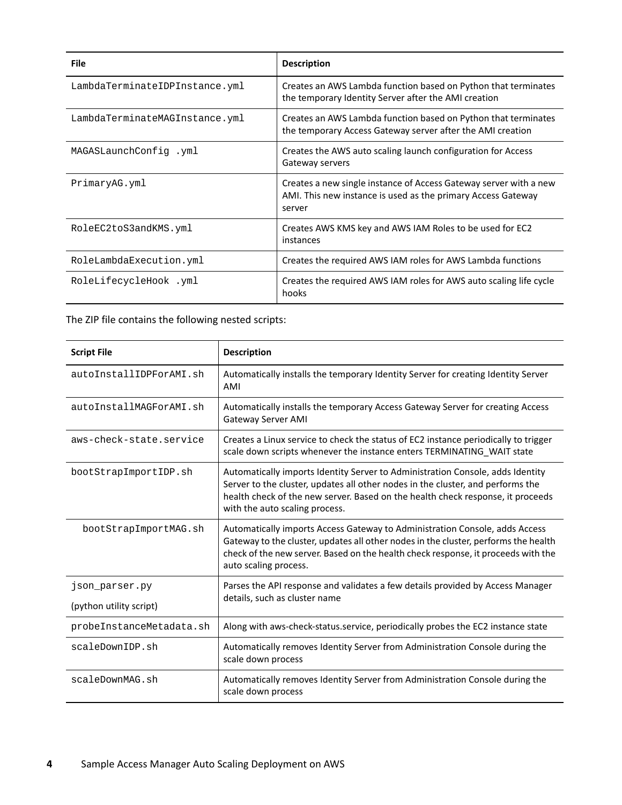| <b>File</b>                    | <b>Description</b>                                                                                                                          |
|--------------------------------|---------------------------------------------------------------------------------------------------------------------------------------------|
| LambdaTerminateIDPInstance.yml | Creates an AWS Lambda function based on Python that terminates<br>the temporary Identity Server after the AMI creation                      |
| LambdaTerminateMAGInstance.yml | Creates an AWS Lambda function based on Python that terminates<br>the temporary Access Gateway server after the AMI creation                |
| MAGASLaunchConfig.wml          | Creates the AWS auto scaling launch configuration for Access<br>Gateway servers                                                             |
| PrimaryAG.yml                  | Creates a new single instance of Access Gateway server with a new<br>AMI. This new instance is used as the primary Access Gateway<br>server |
| RoleEC2toS3andKMS.yml          | Creates AWS KMS key and AWS IAM Roles to be used for EC2<br>instances                                                                       |
| RoleLambdaExecution.yml        | Creates the required AWS IAM roles for AWS Lambda functions                                                                                 |
| RoleLifecycleHook .yml         | Creates the required AWS IAM roles for AWS auto scaling life cycle<br>hooks                                                                 |

The ZIP file contains the following nested scripts:

| <b>Script File</b>       | <b>Description</b>                                                                                                                                                                                                                                                                     |  |
|--------------------------|----------------------------------------------------------------------------------------------------------------------------------------------------------------------------------------------------------------------------------------------------------------------------------------|--|
| autoInstallIDPForAMI.sh  | Automatically installs the temporary Identity Server for creating Identity Server<br>AMI                                                                                                                                                                                               |  |
| autoInstallMAGForAMI.sh  | Automatically installs the temporary Access Gateway Server for creating Access<br><b>Gateway Server AMI</b>                                                                                                                                                                            |  |
| aws-check-state.service  | Creates a Linux service to check the status of EC2 instance periodically to trigger<br>scale down scripts whenever the instance enters TERMINATING_WAIT state                                                                                                                          |  |
| bootStrapImportIDP.sh    | Automatically imports Identity Server to Administration Console, adds Identity<br>Server to the cluster, updates all other nodes in the cluster, and performs the<br>health check of the new server. Based on the health check response, it proceeds<br>with the auto scaling process. |  |
| bootStrapImportMAG.sh    | Automatically imports Access Gateway to Administration Console, adds Access<br>Gateway to the cluster, updates all other nodes in the cluster, performs the health<br>check of the new server. Based on the health check response, it proceeds with the<br>auto scaling process.       |  |
| json parser.py           | Parses the API response and validates a few details provided by Access Manager<br>details, such as cluster name                                                                                                                                                                        |  |
| (python utility script)  |                                                                                                                                                                                                                                                                                        |  |
| probeInstanceMetadata.sh | Along with aws-check-status.service, periodically probes the EC2 instance state                                                                                                                                                                                                        |  |
| scaleDownIDP.sh          | Automatically removes Identity Server from Administration Console during the<br>scale down process                                                                                                                                                                                     |  |
| scaleDownMAG.sh          | Automatically removes Identity Server from Administration Console during the<br>scale down process                                                                                                                                                                                     |  |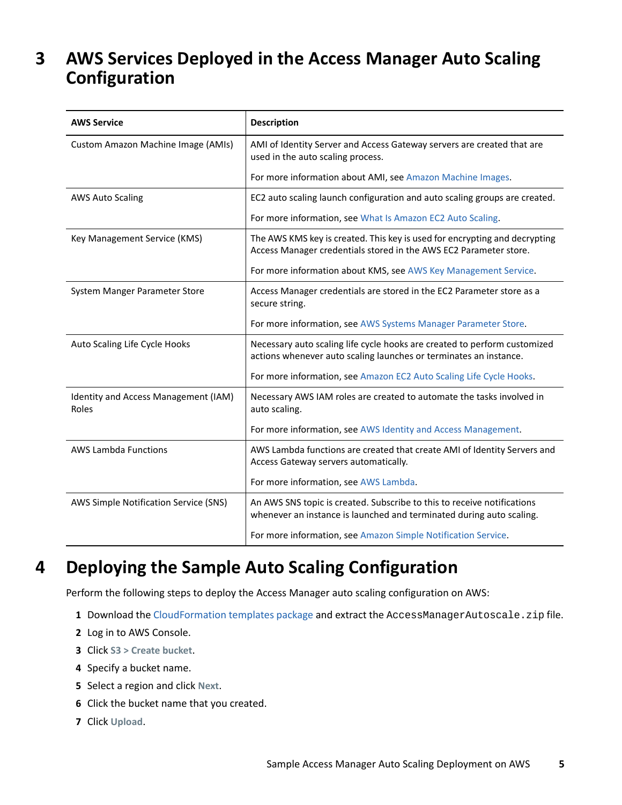### <span id="page-4-0"></span>**3 AWS Services Deployed in the Access Manager Auto Scaling Configuration**

| <b>AWS Service</b>                            | <b>Description</b>                                                                                                                              |
|-----------------------------------------------|-------------------------------------------------------------------------------------------------------------------------------------------------|
| Custom Amazon Machine Image (AMIs)            | AMI of Identity Server and Access Gateway servers are created that are<br>used in the auto scaling process.                                     |
|                                               | For more information about AMI, see Amazon Machine Images.                                                                                      |
| <b>AWS Auto Scaling</b>                       | EC2 auto scaling launch configuration and auto scaling groups are created.                                                                      |
|                                               | For more information, see What Is Amazon EC2 Auto Scaling.                                                                                      |
| Key Management Service (KMS)                  | The AWS KMS key is created. This key is used for encrypting and decrypting<br>Access Manager credentials stored in the AWS EC2 Parameter store. |
|                                               | For more information about KMS, see AWS Key Management Service.                                                                                 |
| System Manger Parameter Store                 | Access Manager credentials are stored in the EC2 Parameter store as a<br>secure string.                                                         |
|                                               | For more information, see AWS Systems Manager Parameter Store.                                                                                  |
| Auto Scaling Life Cycle Hooks                 | Necessary auto scaling life cycle hooks are created to perform customized<br>actions whenever auto scaling launches or terminates an instance.  |
|                                               | For more information, see Amazon EC2 Auto Scaling Life Cycle Hooks.                                                                             |
| Identity and Access Management (IAM)<br>Roles | Necessary AWS IAM roles are created to automate the tasks involved in<br>auto scaling.                                                          |
|                                               | For more information, see AWS Identity and Access Management.                                                                                   |
| <b>AWS Lambda Functions</b>                   | AWS Lambda functions are created that create AMI of Identity Servers and<br>Access Gateway servers automatically.                               |
|                                               | For more information, see AWS Lambda.                                                                                                           |
| AWS Simple Notification Service (SNS)         | An AWS SNS topic is created. Subscribe to this to receive notifications<br>whenever an instance is launched and terminated during auto scaling. |
|                                               | For more information, see Amazon Simple Notification Service.                                                                                   |

## <span id="page-4-1"></span>**4 Deploying the Sample Auto Scaling Configuration**

Perform the following steps to deploy the Access Manager auto scaling configuration on AWS:

- 1 Download the [CloudFormation templates package](https://www.netiq.com/documentation/access-manager-45/resources/AccessManagerAutoscale.zip) and extract the AccessManagerAutoscale.zip file.
- **2** Log in to AWS Console.
- **3** Click **S3 > Create bucket**.
- **4** Specify a bucket name.
- **5** Select a region and click **Next**.
- **6** Click the bucket name that you created.
- **7** Click **Upload**.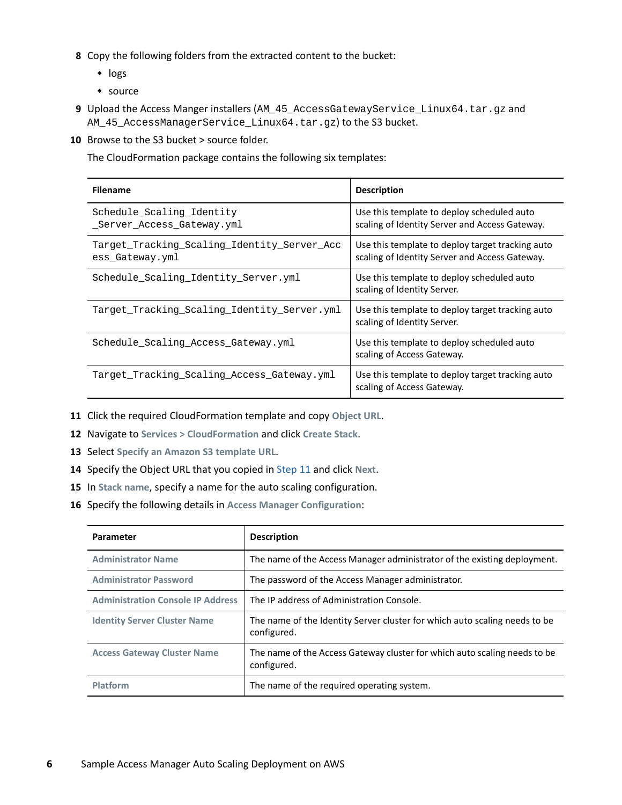- **8** Copy the following folders from the extracted content to the bucket:
	- $\cdot$  logs
	- source
- **9** Upload the Access Manger installers (AM\_45\_AccessGatewayService\_Linux64.tar.gz and AM\_45\_AccessManagerService\_Linux64.tar.gz) to the S3 bucket.
- **10** Browse to the S3 bucket > source folder.

The CloudFormation package contains the following six templates:

| <b>Filename</b>                                                | <b>Description</b>                                                                                 |
|----------------------------------------------------------------|----------------------------------------------------------------------------------------------------|
| Schedule_Scaling_Identity<br>Server Access Gateway.yml         | Use this template to deploy scheduled auto<br>scaling of Identity Server and Access Gateway.       |
| Target Tracking Scaling Identity Server Acc<br>ess Gateway.yml | Use this template to deploy target tracking auto<br>scaling of Identity Server and Access Gateway. |
| Schedule_Scaling_Identity_Server.yml                           | Use this template to deploy scheduled auto<br>scaling of Identity Server.                          |
| Target_Tracking_Scaling_Identity_Server.yml                    | Use this template to deploy target tracking auto<br>scaling of Identity Server.                    |
| Schedule_Scaling_Access_Gateway.yml                            | Use this template to deploy scheduled auto<br>scaling of Access Gateway.                           |
| Target_Tracking_Scaling_Access_Gateway.yml                     | Use this template to deploy target tracking auto<br>scaling of Access Gateway.                     |

- <span id="page-5-0"></span>**11** Click the required CloudFormation template and copy **Object URL**.
- **12** Navigate to **Services > CloudFormation** and click **Create Stack**.
- **13** Select **Specify an Amazon S3 template URL**.
- **14** Specify the Object URL that you copied in [Step 11](#page-5-0) and click **Next**.
- **15** In **Stack name**, specify a name for the auto scaling configuration.
- **16** Specify the following details in **Access Manager Configuration**:

| <b>Parameter</b>                         | <b>Description</b>                                                                        |  |
|------------------------------------------|-------------------------------------------------------------------------------------------|--|
| <b>Administrator Name</b>                | The name of the Access Manager administrator of the existing deployment.                  |  |
| <b>Administrator Password</b>            | The password of the Access Manager administrator.                                         |  |
| <b>Administration Console IP Address</b> | The IP address of Administration Console.                                                 |  |
| <b>Identity Server Cluster Name</b>      | The name of the Identity Server cluster for which auto scaling needs to be<br>configured. |  |
| <b>Access Gateway Cluster Name</b>       | The name of the Access Gateway cluster for which auto scaling needs to be<br>configured.  |  |
| Platform                                 | The name of the required operating system.                                                |  |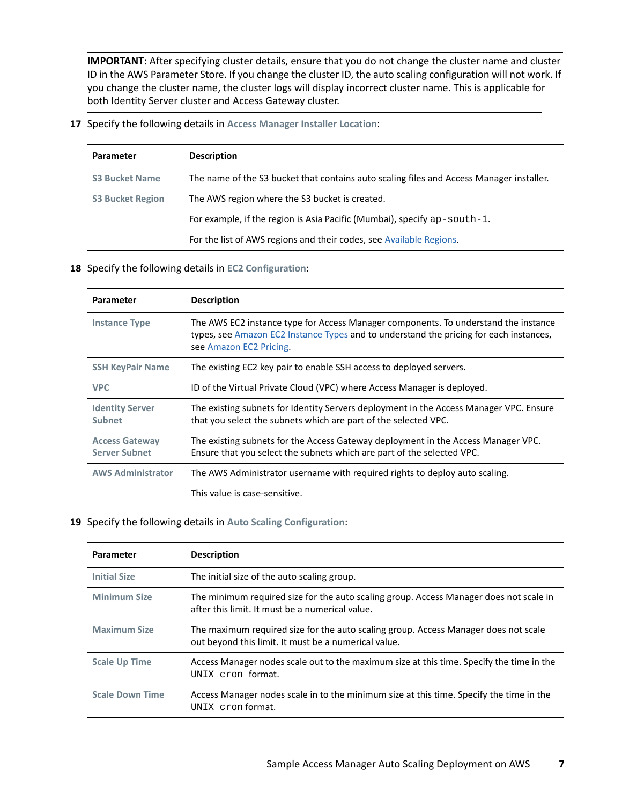**IMPORTANT:** After specifying cluster details, ensure that you do not change the cluster name and cluster ID in the AWS Parameter Store. If you change the cluster ID, the auto scaling configuration will not work. If you change the cluster name, the cluster logs will display incorrect cluster name. This is applicable for both Identity Server cluster and Access Gateway cluster.

**17** Specify the following details in **Access Manager Installer Location**:

| Parameter               | <b>Description</b>                                                                       |
|-------------------------|------------------------------------------------------------------------------------------|
| <b>S3 Bucket Name</b>   | The name of the S3 bucket that contains auto scaling files and Access Manager installer. |
| <b>S3 Bucket Region</b> | The AWS region where the S3 bucket is created.                                           |
|                         | For example, if the region is Asia Pacific (Mumbai), specify ap-south-1.                 |
|                         | For the list of AWS regions and their codes, see Available Regions.                      |

#### **18** Specify the following details in **EC2 Configuration**:

| <b>Parameter</b>                              | <b>Description</b>                                                                                                                                                                                       |
|-----------------------------------------------|----------------------------------------------------------------------------------------------------------------------------------------------------------------------------------------------------------|
| <b>Instance Type</b>                          | The AWS EC2 instance type for Access Manager components. To understand the instance<br>types, see Amazon EC2 Instance Types and to understand the pricing for each instances,<br>see Amazon EC2 Pricing. |
| <b>SSH KeyPair Name</b>                       | The existing EC2 key pair to enable SSH access to deployed servers.                                                                                                                                      |
| <b>VPC</b>                                    | ID of the Virtual Private Cloud (VPC) where Access Manager is deployed.                                                                                                                                  |
| <b>Identity Server</b><br><b>Subnet</b>       | The existing subnets for Identity Servers deployment in the Access Manager VPC. Ensure<br>that you select the subnets which are part of the selected VPC.                                                |
| <b>Access Gateway</b><br><b>Server Subnet</b> | The existing subnets for the Access Gateway deployment in the Access Manager VPC.<br>Ensure that you select the subnets which are part of the selected VPC.                                              |
| <b>AWS Administrator</b>                      | The AWS Administrator username with required rights to deploy auto scaling.                                                                                                                              |
|                                               | This value is case-sensitive.                                                                                                                                                                            |

#### **19** Specify the following details in **Auto Scaling Configuration**:

| Parameter              | <b>Description</b>                                                                                                                          |
|------------------------|---------------------------------------------------------------------------------------------------------------------------------------------|
| <b>Initial Size</b>    | The initial size of the auto scaling group.                                                                                                 |
| <b>Minimum Size</b>    | The minimum required size for the auto scaling group. Access Manager does not scale in<br>after this limit. It must be a numerical value.   |
| <b>Maximum Size</b>    | The maximum required size for the auto scaling group. Access Manager does not scale<br>out beyond this limit. It must be a numerical value. |
| <b>Scale Up Time</b>   | Access Manager nodes scale out to the maximum size at this time. Specify the time in the<br>UNIX cron format.                               |
| <b>Scale Down Time</b> | Access Manager nodes scale in to the minimum size at this time. Specify the time in the<br>UNIX cron format.                                |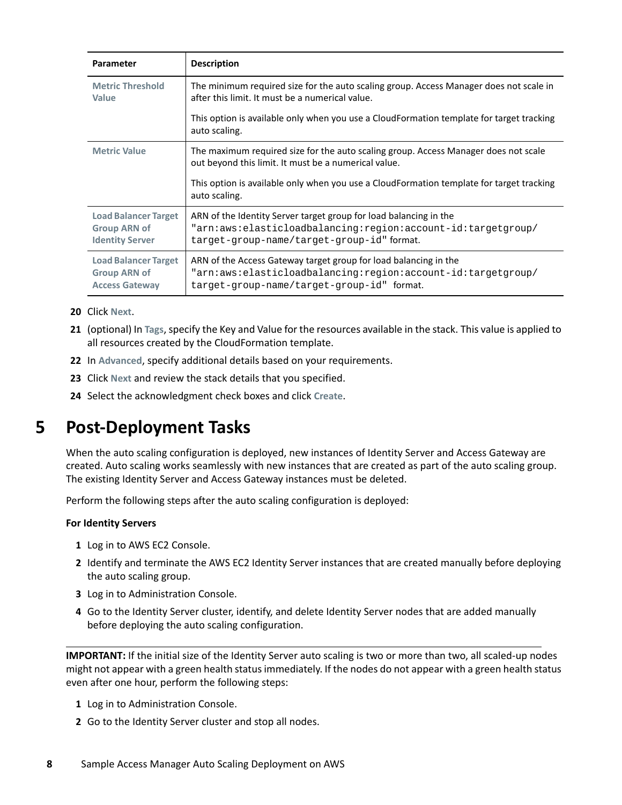| Parameter                                                                    | <b>Description</b>                                                                                                                                                              |
|------------------------------------------------------------------------------|---------------------------------------------------------------------------------------------------------------------------------------------------------------------------------|
| <b>Metric Threshold</b><br>Value                                             | The minimum required size for the auto scaling group. Access Manager does not scale in<br>after this limit. It must be a numerical value.                                       |
|                                                                              | This option is available only when you use a CloudFormation template for target tracking<br>auto scaling.                                                                       |
| <b>Metric Value</b>                                                          | The maximum required size for the auto scaling group. Access Manager does not scale<br>out beyond this limit. It must be a numerical value.                                     |
|                                                                              | This option is available only when you use a CloudFormation template for target tracking<br>auto scaling.                                                                       |
| <b>Load Balancer Target</b><br><b>Group ARN of</b><br><b>Identity Server</b> | ARN of the Identity Server target group for load balancing in the<br>"arn:aws:elasticloadbalancing:region:account-id:targetgroup/<br>target-group-name/target-group-id" format. |
| <b>Load Balancer Target</b><br><b>Group ARN of</b><br><b>Access Gateway</b>  | ARN of the Access Gateway target group for load balancing in the<br>"arn:aws:elasticloadbalancing:region:account-id:targetgroup/<br>target-group-name/target-group-id" format.  |

- **20** Click **Next**.
- **21** (optional) In **Tags**, specify the Key and Value for the resources available in the stack. This value is applied to all resources created by the CloudFormation template.
- **22** In **Advanced**, specify additional details based on your requirements.
- **23** Click **Next** and review the stack details that you specified.
- **24** Select the acknowledgment check boxes and click **Create**.

### <span id="page-7-0"></span>**5 Post-Deployment Tasks**

When the auto scaling configuration is deployed, new instances of Identity Server and Access Gateway are created. Auto scaling works seamlessly with new instances that are created as part of the auto scaling group. The existing Identity Server and Access Gateway instances must be deleted.

Perform the following steps after the auto scaling configuration is deployed:

#### **For Identity Servers**

- **1** Log in to AWS EC2 Console.
- **2** Identify and terminate the AWS EC2 Identity Server instances that are created manually before deploying the auto scaling group.
- **3** Log in to Administration Console.
- **4** Go to the Identity Server cluster, identify, and delete Identity Server nodes that are added manually before deploying the auto scaling configuration.

**IMPORTANT:** If the initial size of the Identity Server auto scaling is two or more than two, all scaled-up nodes might not appear with a green health status immediately. If the nodes do not appear with a green health status even after one hour, perform the following steps:

- **1** Log in to Administration Console.
- **2** Go to the Identity Server cluster and stop all nodes.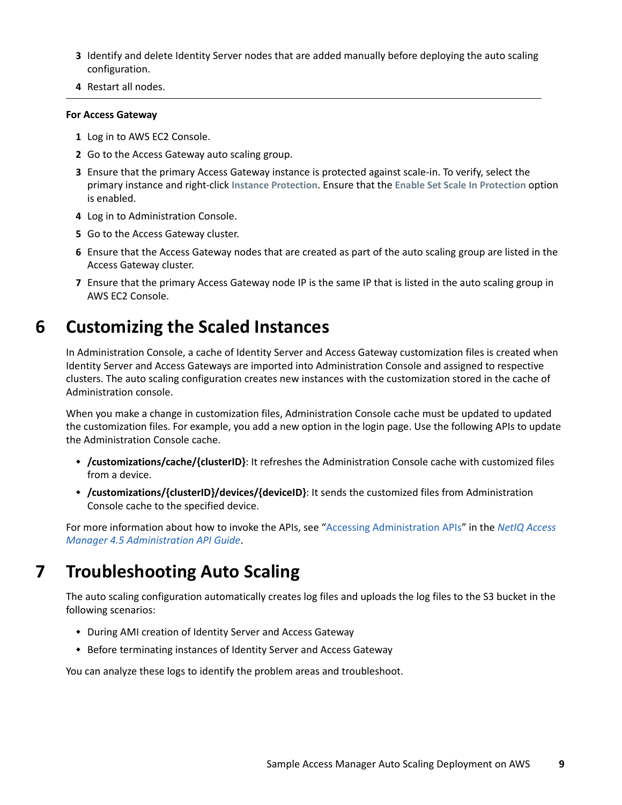- **3** Identify and delete Identity Server nodes that are added manually before deploying the auto scaling configuration.
- **4** Restart all nodes.

#### **For Access Gateway**

- **1** Log in to AWS EC2 Console.
- **2** Go to the Access Gateway auto scaling group.
- **3** Ensure that the primary Access Gateway instance is protected against scale-in. To verify, select the primary instance and right-click **Instance Protection**. Ensure that the **Enable Set Scale In Protection** option is enabled.
- **4** Log in to Administration Console.
- **5** Go to the Access Gateway cluster.
- **6** Ensure that the Access Gateway nodes that are created as part of the auto scaling group are listed in the Access Gateway cluster.
- **7** Ensure that the primary Access Gateway node IP is the same IP that is listed in the auto scaling group in AWS EC2 Console.

### <span id="page-8-0"></span>**6 Customizing the Scaled Instances**

In Administration Console, a cache of Identity Server and Access Gateway customization files is created when Identity Server and Access Gateways are imported into Administration Console and assigned to respective clusters. The auto scaling configuration creates new instances with the customization stored in the cache of Administration console.

When you make a change in customization files, Administration Console cache must be updated to updated the customization files. For example, you add a new option in the login page. Use the following APIs to update the Administration Console cache.

- **/customizations/cache/{clusterID}**: It refreshes the Administration Console cache with customized files from a device.
- **/customizations/{clusterID}/devices/{deviceID}**: It sends the customized files from Administration Console cache to the specified device.

For more information about how to invoke the APIs, see ["Accessing Administration APIs"](https://www.netiq.com/documentation/access-manager-45-developer-documentation/pdfdoc/administration-rest-api-guide/administration-rest-api-guide.pdf#accessingadministrationapis) in the *[NetIQ Access](https://www.netiq.com/documentation/access-manager-45-developer-documentation/pdfdoc/administration-rest-api-guide/administration-rest-api-guide.pdf#bookinfo)  [Manager 4.5 Administration API Guide](https://www.netiq.com/documentation/access-manager-45-developer-documentation/pdfdoc/administration-rest-api-guide/administration-rest-api-guide.pdf#bookinfo)*.

## <span id="page-8-1"></span>**7 Troubleshooting Auto Scaling**

The auto scaling configuration automatically creates log files and uploads the log files to the S3 bucket in the following scenarios:

- During AMI creation of Identity Server and Access Gateway
- Before terminating instances of Identity Server and Access Gateway

You can analyze these logs to identify the problem areas and troubleshoot.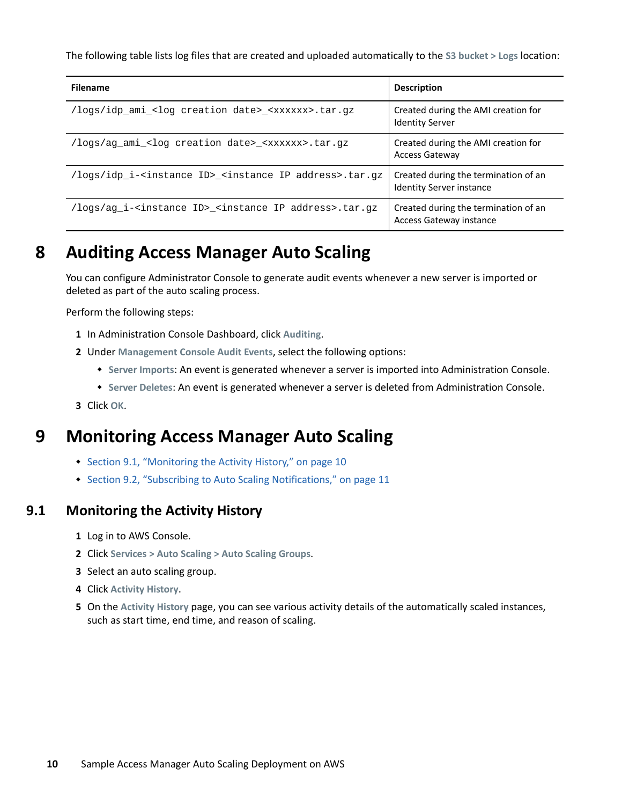The following table lists log files that are created and uploaded automatically to the **S3 bucket > Logs** location:

| <b>Filename</b>                                                                        | <b>Description</b>                                                      |
|----------------------------------------------------------------------------------------|-------------------------------------------------------------------------|
| /logs/idp_ami_ <log creation="" date="">_<xxxxxx>.tar.gz</xxxxxx></log>                | Created during the AMI creation for<br><b>Identity Server</b>           |
| /logs/ag ami <log creation="" date=""> <xxxxxx>.tar.gz</xxxxxx></log>                  | Created during the AMI creation for<br><b>Access Gateway</b>            |
| /logs/idp_i- <instance id="">_<instance address="" ip="">.tar.gz</instance></instance> | Created during the termination of an<br><b>Identity Server instance</b> |
| /logs/ag_i- <instance id="">_<instance address="" ip="">.tar.gz</instance></instance>  | Created during the termination of an<br><b>Access Gateway instance</b>  |

# <span id="page-9-0"></span>**8 Auditing Access Manager Auto Scaling**

You can configure Administrator Console to generate audit events whenever a new server is imported or deleted as part of the auto scaling process.

Perform the following steps:

- **1** In Administration Console Dashboard, click **Auditing**.
- **2** Under **Management Console Audit Events**, select the following options:
	- **Server Imports**: An event is generated whenever a server is imported into Administration Console.
	- **Server Deletes**: An event is generated whenever a server is deleted from Administration Console.
- **3** Click **OK**.

#### <span id="page-9-1"></span>**9 Monitoring Access Manager Auto Scaling**

- [Section 9.1, "Monitoring the Activity History," on page 10](#page-9-2)
- [Section 9.2, "Subscribing to Auto Scaling Notifications," on page 11](#page-10-2)

#### <span id="page-9-2"></span>**9.1 Monitoring the Activity History**

- **1** Log in to AWS Console.
- **2** Click **Services > Auto Scaling > Auto Scaling Groups**.
- **3** Select an auto scaling group.
- **4** Click **Activity History**.
- **5** On the **Activity History** page, you can see various activity details of the automatically scaled instances, such as start time, end time, and reason of scaling.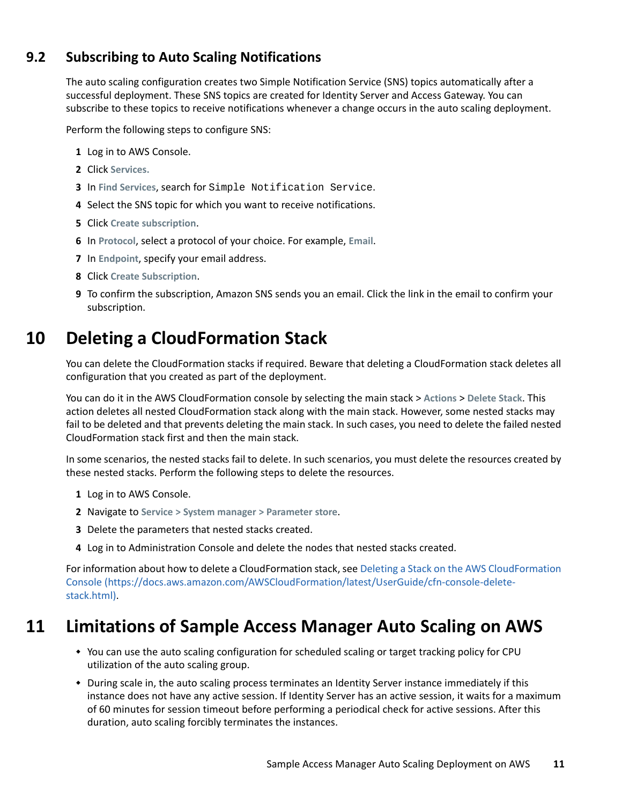#### <span id="page-10-2"></span>**9.2 Subscribing to Auto Scaling Notifications**

The auto scaling configuration creates two Simple Notification Service (SNS) topics automatically after a successful deployment. These SNS topics are created for Identity Server and Access Gateway. You can subscribe to these topics to receive notifications whenever a change occurs in the auto scaling deployment.

Perform the following steps to configure SNS:

- **1** Log in to AWS Console.
- **2** Click **Services.**
- **3** In **Find Services**, search for Simple Notification Service.
- **4** Select the SNS topic for which you want to receive notifications.
- **5** Click **Create subscription**.
- **6** In **Protocol**, select a protocol of your choice. For example, **Email**.
- **7** In **Endpoint**, specify your email address.
- **8** Click **Create Subscription**.
- **9** To confirm the subscription, Amazon SNS sends you an email. Click the link in the email to confirm your subscription.

### <span id="page-10-0"></span>**10 Deleting a CloudFormation Stack**

You can delete the CloudFormation stacks if required. Beware that deleting a CloudFormation stack deletes all configuration that you created as part of the deployment.

You can do it in the AWS CloudFormation console by selecting the main stack > **Actions** > **Delete Stack**. This action deletes all nested CloudFormation stack along with the main stack. However, some nested stacks may fail to be deleted and that prevents deleting the main stack. In such cases, you need to delete the failed nested CloudFormation stack first and then the main stack.

In some scenarios, the nested stacks fail to delete. In such scenarios, you must delete the resources created by these nested stacks. Perform the following steps to delete the resources.

- **1** Log in to AWS Console.
- **2** Navigate to **Service > System manager > Parameter store**.
- **3** Delete the parameters that nested stacks created.
- **4** Log in to Administration Console and delete the nodes that nested stacks created.

For information about how to delete a CloudFormation stack, see [Deleting a Stack on the AWS CloudFormation](https://docs.aws.amazon.com/AWSCloudFormation/latest/UserGuide/cfn-console-delete-stack.html)  [Console](https://docs.aws.amazon.com/AWSCloudFormation/latest/UserGuide/cfn-console-delete-stack.html) (https://docs.aws.amazon.com/AWSCloudFormation/latest/UserGuide/cfn-console-deletestack.html).

#### <span id="page-10-1"></span>**11 Limitations of Sample Access Manager Auto Scaling on AWS**

- You can use the auto scaling configuration for scheduled scaling or target tracking policy for CPU utilization of the auto scaling group.
- During scale in, the auto scaling process terminates an Identity Server instance immediately if this instance does not have any active session. If Identity Server has an active session, it waits for a maximum of 60 minutes for session timeout before performing a periodical check for active sessions. After this duration, auto scaling forcibly terminates the instances.